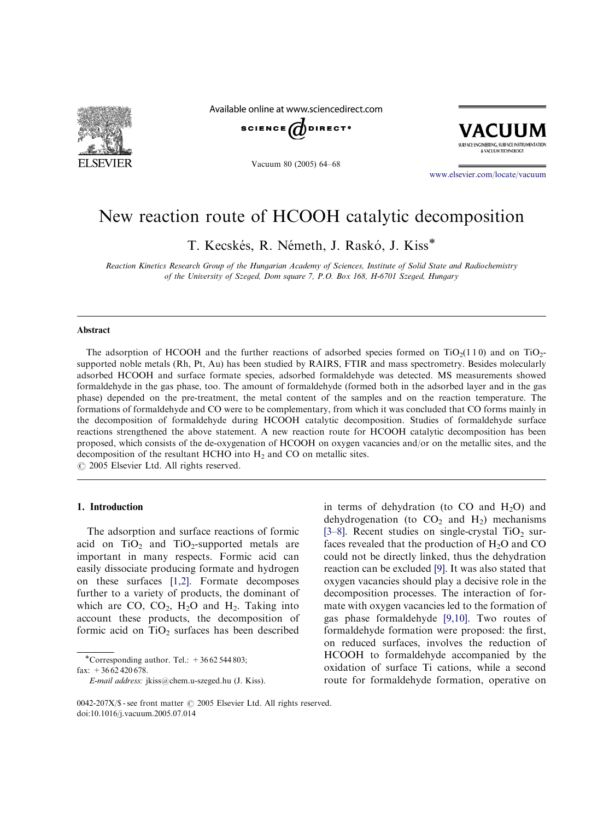

Available online at www.sciencedirect.com







www.elsevier.com/locate/vacuum

# New reaction route of HCOOH catalytic decomposition

T. Kecskés, R. Németh, J. Raskó, J. Kiss\*

Reaction Kinetics Research Group of the Hungarian Academy of Sciences, Institute of Solid State and Radiochemistry of the University of Szeged, Dom square 7, P.O. Box 168, H-6701 Szeged, Hungary

#### Abstract

The adsorption of HCOOH and the further reactions of adsorbed species formed on  $TiO<sub>2</sub>(110)$  and on TiO<sub>2</sub>supported noble metals (Rh, Pt, Au) has been studied by RAIRS, FTIR and mass spectrometry. Besides molecularly adsorbed HCOOH and surface formate species, adsorbed formaldehyde was detected. MS measurements showed formaldehyde in the gas phase, too. The amount of formaldehyde (formed both in the adsorbed layer and in the gas phase) depended on the pre-treatment, the metal content of the samples and on the reaction temperature. The formations of formaldehyde and CO were to be complementary, from which it was concluded that CO forms mainly in the decomposition of formaldehyde during HCOOH catalytic decomposition. Studies of formaldehyde surface reactions strengthened the above statement. A new reaction route for HCOOH catalytic decomposition has been proposed, which consists of the de-oxygenation of HCOOH on oxygen vacancies and/or on the metallic sites, and the decomposition of the resultant HCHO into  $H_2$  and CO on metallic sites.

 $O$  2005 Elsevier Ltd. All rights reserved.

## 1. Introduction

The adsorption and surface reactions of formic acid on  $TiO<sub>2</sub>$  and  $TiO<sub>2</sub>$ -supported metals are important in many respects. Formic acid ca[n](#page-4-0) easily dissociate producing formate and hydrogen on these surfaces [1,2]. Formate decomposes further to a variety of products, the dominant of which are CO[,](#page-4-0)  $CO<sub>2</sub>$  $CO<sub>2</sub>$ , H<sub>2</sub>O and H<sub>2</sub>. Taking into account these products, the decomposition of formic acid on  $TiO<sub>2</sub>$  surfaces has been described

\*Corresponding author. Tel.:  $+3662544803$ ; fax:  $+3662420678$ .

in terms of dehydration (to  $CO$  and  $H<sub>2</sub>O$ ) and dehydrogenation (to  $CO<sub>2</sub>$  and  $H<sub>2</sub>$ ) mechanisms [3–8]. Recent studies on single-crystal  $TiO<sub>2</sub>$  surfaces revealed that the production of  $H_2O$  and CO could not be directly linked, thus the dehydration reaction can be excluded [9]. It was also stated that oxygen vacancies should play a decisive role in the decomposition pr[oce](#page-4-0)sses. The interaction of formate with oxygen vacancies led to the formation of gas phase formaldehyde [9,10]. Two routes of formaldehyde formation were proposed: the first, on reduced surface[s,](#page-4-0) [inv](#page-4-0)olves the reduction of HCOOH to formaldehyde accompanied by the oxidation of surface Ti cations, while a second route for formaldehyde formation, operative on

E-mail address: jkiss@chem.u-szeged.hu (J. Kiss).

<sup>0042-207</sup>X/\$ - see front matter  $\odot$  2005 Elsevier Ltd. All rights reserved. doi:10.1016/j.vacuum.2005.07.014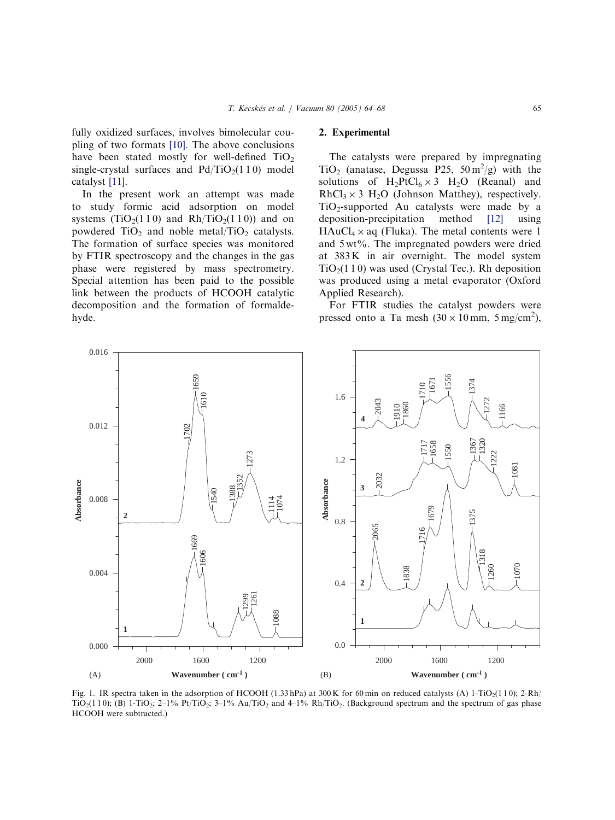<span id="page-1-0"></span>fully oxidized surfaces, involves bimolecular coupling of two formats [10]. The above conclusions have been stated mostly for well-defined  $TiO<sub>2</sub>$ single-crystal s[urfa](#page-4-0)ces and  $Pd/TiO<sub>2</sub>(1 1 0)$  model catalyst [11].

In the present work an attempt was made t[o](#page-4-0) [st](#page-4-0)udy formic acid adsorption on model systems (TiO<sub>2</sub>(1 1 0) and Rh/TiO<sub>2</sub>(1 1 0)) and on powdered  $TiO<sub>2</sub>$  and noble metal/ $TiO<sub>2</sub>$  catalysts. The formation of surface species was monitored by FTIR spectroscopy and the changes in the gas phase were registered by mass spectrometry. Special attention has been paid to the possible link between the products of HCOOH catalytic decomposition and the formation of formaldehyde.

#### 2. Experimental

The catalysts were prepared by impregnating TiO<sub>2</sub> (anatase, Degussa P25,  $50 \text{ m}^2/\text{g}$ ) with the solutions of  $H_2PtCl_6 \times 3$   $H_2O$  (Reanal) and  $RhCl<sub>3</sub> × 3 H<sub>2</sub>O$  (Johnson Matthey), respectively.  $TiO<sub>2</sub>$ -supported Au catalysts were made by a deposition-precipitation method [12] using  $HAuCl_4 \times aq$  (Fluka). The metal contents were 1 and 5 wt%. The impregnated p[owd](#page-4-0)ers were dried at 383 K in air overnight. The model system  $TiO<sub>2</sub>(110)$  was used (Crystal Tec.). Rh deposition was produced using a metal evaporator (Oxford Applied Research).

For FTIR studies the catalyst powders were pressed onto a Ta mesh  $(30 \times 10 \text{ mm}, 5 \text{ mg/cm}^2)$ ,



Fig. 1. IR spectra taken in the adsorption of HCOOH (1.33 hPa) at 300 K for 60 min on reduced catalysts (A) 1-TiO<sub>2</sub>(110); 2-Rh/ TiO<sub>2</sub>(1 1 0); (B) 1-TiO<sub>2</sub>; 2-1% Pt/TiO<sub>2</sub>; 3-1% Au/TiO<sub>2</sub> and 4-1% Rh/TiO<sub>2</sub>. (Background spectrum and the spectrum of gas phase HCOOH were subtracted.)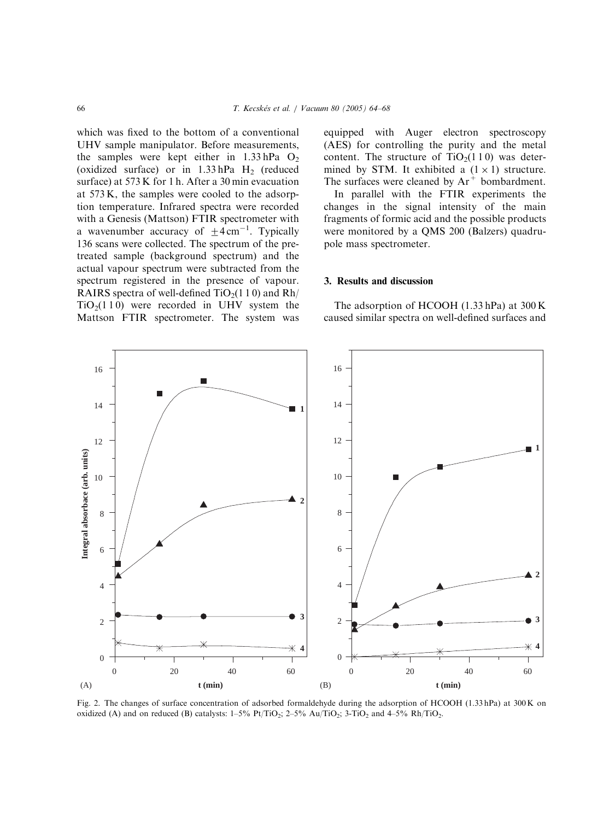<span id="page-2-0"></span>which was fixed to the bottom of a conventional UHV sample manipulator. Before measurements, the samples were kept either in  $1.33$  hPa  $O<sub>2</sub>$ (oxidized surface) or in  $1.33$  hPa H<sub>2</sub> (reduced surface) at 573 K for 1 h. After a 30 min evacuation at 573 K, the samples were cooled to the adsorption temperature. Infrared spectra were recorded with a Genesis (Mattson) FTIR spectrometer with a wavenumber accuracy of  $\pm 4 \text{ cm}^{-1}$ . Typically 136 scans were collected. The spectrum of the pretreated sample (background spectrum) and the actual vapour spectrum were subtracted from the spectrum registered in the presence of vapour. RAIRS spectra of well-defined  $TiO<sub>2</sub>(1 1 0)$  and Rh/  $TiO<sub>2</sub>(110)$  were recorded in UHV system the Mattson FTIR spectrometer. The system was equipped with Auger electron spectroscopy (AES) for controlling the purity and the metal content. The structure of  $TiO<sub>2</sub>(110)$  was determined by STM. It exhibited a  $(1 \times 1)$  structure. The surfaces were cleaned by  $Ar^+$  bombardment.

In parallel with the FTIR experiments the changes in the signal intensity of the main fragments of formic acid and the possible products were monitored by a QMS 200 (Balzers) quadrupole mass spectrometer.

#### 3. Results and discussion

The adsorption of HCOOH (1.33 hPa) at 300 K caused similar spectra on well-defined surfaces and



Fig. 2. The changes of surface concentration of adsorbed formaldehyde during the adsorption of HCOOH (1.33 hPa) at 300 K on oxidized (A) and on reduced (B) catalysts:  $1-5\%$  Pt/TiO<sub>2</sub>;  $2-5\%$  Au/TiO<sub>2</sub>;  $3-TiO<sub>2</sub>$  and  $4-5\%$  Rh/TiO<sub>2</sub>.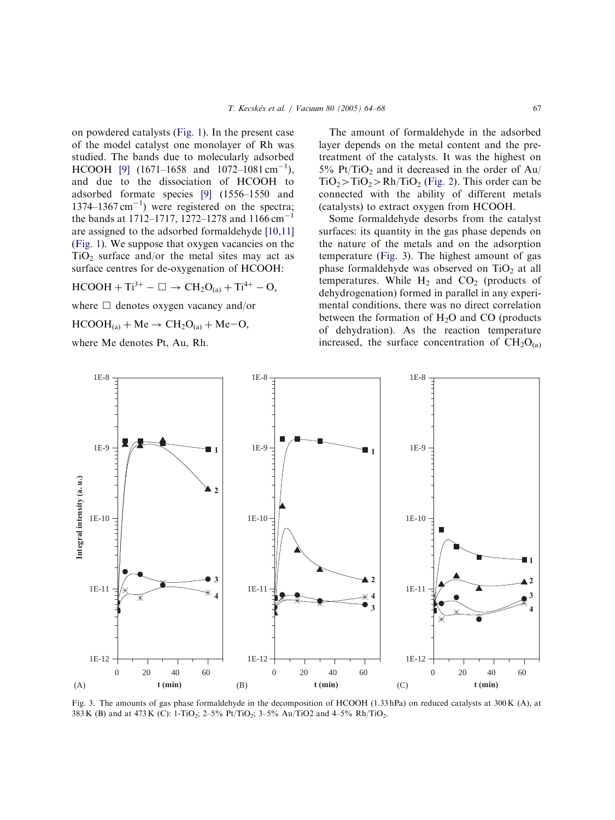on powdered catalysts (Fig. 1). In the present case of the model catalyst one monolayer of Rh was studied. The ba[nds](#page-1-0) [du](#page-1-0)e to molecularly adsorbed HCOOH [9]  $(1671-1658 \text{ and } 1072-1081 \text{ cm}^{-1})$ , and due to the dissociation of HCOOH to ads[orbe](#page-4-0)d formate species [9] (1556–1550 and  $1374-1367$  cm<sup>-1</sup>) were registered on the spectra; the bands at 1712–171[7,](#page-4-0) [1](#page-4-0)272–1278 and 1166 cm<sup>-1</sup> are assigned to the adsorbed formaldehyde [10,11] (Fig. 1). We suppose that oxygen vacancies on the  $TiO<sub>2</sub>$  surface and/or the metal sites [may](#page-4-0) act as [s](#page-1-0)urface centres for de-oxygenation of HCOOH:

 $HCOOH + Ti^{3+} - \Box \rightarrow CH_2O_{(a)} + Ti^{4+} - O,$ 

where  $\Box$  denotes oxygen vacancy and/or

 $HCOOH<sub>(a)</sub> + Me \rightarrow CH<sub>2</sub>O<sub>(a)</sub> + Me-O,$ 

where Me denotes Pt, Au, Rh.

The amount of formaldehyde in the adsorbed layer depends on the metal content and the pretreatment of the catalysts. It was the highest on  $5\%$  Pt/TiO<sub>2</sub> and it decreased in the order of Au/  $TiO<sub>2</sub> > TiO<sub>2</sub> > Rh/TiO<sub>2</sub>$  (Fig. 2). This order can be connected with the ability of different metals (catalysts) to extr[act](#page-2-0) [oxy](#page-2-0)gen from HCOOH.

Some formaldehyde desorbs from the catalyst surfaces: its quantity in the gas phase depends on the nature of the metals and on the adsorption temperature (Fig. 3). The highest amount of gas phase formaldehyde was observed on  $TiO<sub>2</sub>$  at all temperatures. While  $H_2$  and  $CO_2$  (products of dehydrogenation) formed in parallel in any experimental conditions, there was no direct correlation between the formation of  $H_2O$  and CO (products of dehydration). As the reaction temperature increased, the surface concentration of  $CH<sub>2</sub>O<sub>(a)</sub>$ 



Fig. 3. The amounts of gas phase formaldehyde in the decomposition of HCOOH (1.33 hPa) on reduced catalysts at 300 K (A), at 383 K (B) and at 473 K (C): 1-TiO<sub>2</sub>; 2-5% Pt/TiO<sub>2</sub>; 3-5% Au/TiO2 and 4-5% Rh/TiO<sub>2</sub>.